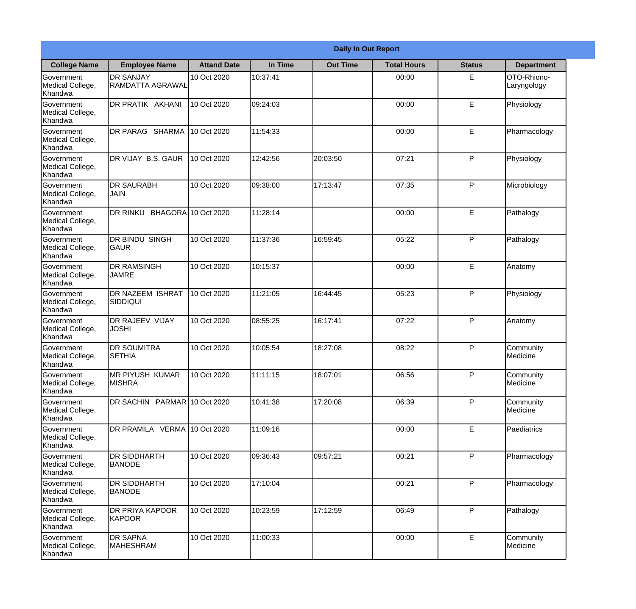|                                           | <b>Daily In Out Report</b>                 |                     |          |                 |                    |               |                            |  |  |
|-------------------------------------------|--------------------------------------------|---------------------|----------|-----------------|--------------------|---------------|----------------------------|--|--|
| <b>College Name</b>                       | <b>Employee Name</b>                       | <b>Attand Date</b>  | In Time  | <b>Out Time</b> | <b>Total Hours</b> | <b>Status</b> | <b>Department</b>          |  |  |
| Government<br>Medical College,<br>Khandwa | <b>DR SANJAY</b><br>RAMDATTA AGRAWAL       | 10 Oct 2020         | 10:37:41 |                 | 00:00              | E             | OTO-Rhiono-<br>Laryngology |  |  |
| Government<br>Medical College,<br>Khandwa | DR PRATIK AKHANI                           | 10 Oct 2020         | 09:24:03 |                 | 00:00              | E             | Physiology                 |  |  |
| Government<br>Medical College,<br>Khandwa | <b>DR PARAG SHARMA</b>                     | 10 Oct 2020         | 11:54:33 |                 | 00:00              | E             | Pharmacology               |  |  |
| Government<br>Medical College,<br>Khandwa | DR VIJAY B.S. GAUR                         | 10 Oct 2020         | 12:42:56 | 20:03:50        | 07:21              | P             | Physiology                 |  |  |
| Government<br>Medical College,<br>Khandwa | <b>DR SAURABH</b><br>JAIN                  | 10 Oct 2020         | 09:38:00 | 17:13:47        | 07:35              | P             | Microbiology               |  |  |
| Government<br>Medical College,<br>Khandwa | DR RINKU                                   | BHAGORA 10 Oct 2020 | 11:28:14 |                 | 00:00              | E             | Pathalogy                  |  |  |
| Government<br>Medical College,<br>Khandwa | DR BINDU SINGH<br><b>GAUR</b>              | 10 Oct 2020         | 11:37:36 | 16:59:45        | 05:22              | P             | Pathalogy                  |  |  |
| Government<br>Medical College,<br>Khandwa | <b>DR RAMSINGH</b><br><b>JAMRE</b>         | 10 Oct 2020         | 10:15:37 |                 | 00:00              | E             | Anatomy                    |  |  |
| Government<br>Medical College,<br>Khandwa | <b>DR NAZEEM ISHRAT</b><br><b>SIDDIQUI</b> | 10 Oct 2020         | 11:21:05 | 16:44:45        | 05:23              | P             | Physiology                 |  |  |
| Government<br>Medical College,<br>Khandwa | DR RAJEEV VIJAY<br><b>JOSHI</b>            | 10 Oct 2020         | 08:55:25 | 16:17:41        | 07:22              | P             | Anatomy                    |  |  |
| Government<br>Medical College,<br>Khandwa | <b>DR SOUMITRA</b><br><b>SETHIA</b>        | 10 Oct 2020         | 10:05:54 | 18:27:08        | 08:22              | $\mathsf{P}$  | Community<br>Medicine      |  |  |
| Government<br>Medical College,<br>Khandwa | <b>MR PIYUSH KUMAR</b><br>IMISHRA          | 10 Oct 2020         | 11:11:15 | 18:07:01        | 06:56              | P             | Community<br>Medicine      |  |  |
| Government<br>Medical College,<br>Khandwa | DR SACHIN PARMAR 10 Oct 2020               |                     | 10:41:38 | 17:20:08        | 06:39              | P             | Community<br>Medicine      |  |  |
| Government<br>Medical College,<br>Khandwa | DR PRAMILA VERMA 10 Oct 2020               |                     | 11:09:16 |                 | 00:00              | E             | Paediatrics                |  |  |
| Government<br>Medical College,<br>Khandwa | DR SIDDHARTH<br><b>BANODE</b>              | 10 Oct 2020         | 09:36:43 | 09:57:21        | 00:21              | $\mathsf{P}$  | Pharmacology               |  |  |
| Government<br>Medical College,<br>Khandwa | DR SIDDHARTH<br><b>BANODE</b>              | 10 Oct 2020         | 17:10:04 |                 | 00:21              | $\mathsf{P}$  | Pharmacology               |  |  |
| Government<br>Medical College,<br>Khandwa | DR PRIYA KAPOOR<br>KAPOOR                  | 10 Oct 2020         | 10:23:59 | 17:12:59        | 06:49              | P             | Pathalogy                  |  |  |
| Government<br>Medical College,<br>Khandwa | DR SAPNA<br>MAHESHRAM                      | 10 Oct 2020         | 11:00:33 |                 | 00:00              | E             | Community<br>Medicine      |  |  |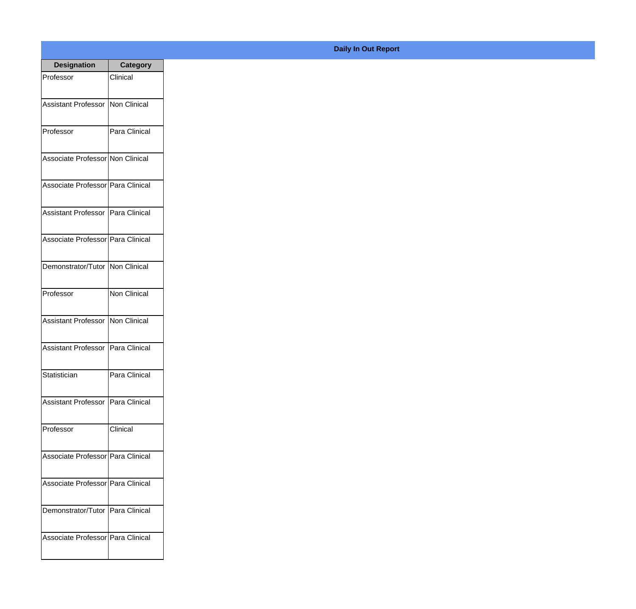| <b>Designation</b>                  | <b>Category</b> |
|-------------------------------------|-----------------|
| Professor                           | Clinical        |
| Assistant Professor   Non Clinical  |                 |
|                                     |                 |
| Professor                           | Para Clinical   |
|                                     |                 |
| Associate Professor Non Clinical    |                 |
| Associate Professor Para Clinical   |                 |
|                                     |                 |
| Assistant Professor   Para Clinical |                 |
| Associate Professor Para Clinical   |                 |
|                                     |                 |
| Demonstrator/Tutor   Non Clinical   |                 |
|                                     |                 |
| Professor                           | Non Clinical    |
| Assistant Professor   Non Clinical  |                 |
|                                     |                 |
| Assistant Professor   Para Clinical |                 |
| Statistician                        | Para Clinical   |
|                                     |                 |
| Assistant Professor   Para Clinical |                 |
| Professor                           | Clinical        |
|                                     |                 |
| Associate Professor   Para Clinical |                 |
|                                     |                 |
| Associate Professor   Para Clinical |                 |
| Demonstrator/Tutor   Para Clinical  |                 |
|                                     |                 |
| Associate Professor Para Clinical   |                 |
|                                     |                 |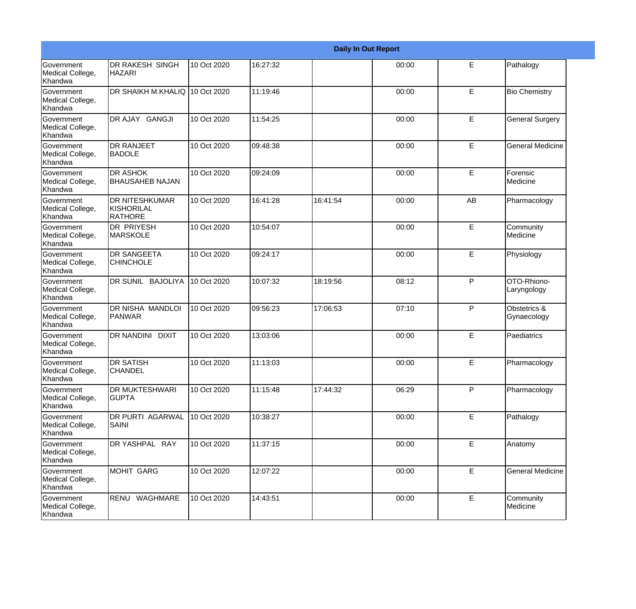|                                           | <b>Daily In Out Report</b>                            |             |          |          |       |              |                             |
|-------------------------------------------|-------------------------------------------------------|-------------|----------|----------|-------|--------------|-----------------------------|
| Government<br>Medical College,<br>Khandwa | <b>DR RAKESH SINGH</b><br><b>HAZARI</b>               | 10 Oct 2020 | 16:27:32 |          | 00:00 | E            | Pathalogy                   |
| Government<br>Medical College,<br>Khandwa | DR SHAIKH M.KHALIQ 10 Oct 2020                        |             | 11:19:46 |          | 00:00 | E            | <b>Bio Chemistry</b>        |
| Government<br>Medical College,<br>Khandwa | DR AJAY GANGJI                                        | 10 Oct 2020 | 11:54:25 |          | 00:00 | E            | <b>General Surgery</b>      |
| Government<br>Medical College,<br>Khandwa | <b>DR RANJEET</b><br><b>BADOLE</b>                    | 10 Oct 2020 | 09:48:38 |          | 00:00 | E            | <b>General Medicine</b>     |
| Government<br>Medical College,<br>Khandwa | <b>DR ASHOK</b><br><b>BHAUSAHEB NAJAN</b>             | 10 Oct 2020 | 09:24:09 |          | 00:00 | E            | Forensic<br>Medicine        |
| Government<br>Medical College,<br>Khandwa | <b>DR NITESHKUMAR</b><br>KISHORILAL<br><b>RATHORE</b> | 10 Oct 2020 | 16:41:28 | 16:41:54 | 00:00 | AB           | Pharmacology                |
| Government<br>Medical College,<br>Khandwa | <b>DR PRIYESH</b><br><b>MARSKOLE</b>                  | 10 Oct 2020 | 10:54:07 |          | 00:00 | E            | Community<br>Medicine       |
| Government<br>Medical College,<br>Khandwa | <b>DR SANGEETA</b><br><b>CHINCHOLE</b>                | 10 Oct 2020 | 09:24:17 |          | 00:00 | E            | Physiology                  |
| Government<br>Medical College,<br>Khandwa | DR SUNIL BAJOLIYA                                     | 10 Oct 2020 | 10:07:32 | 18:19:56 | 08:12 | P            | OTO-Rhiono-<br>Laryngology  |
| Government<br>Medical College,<br>Khandwa | <b>DR NISHA MANDLOI</b><br>PANWAR                     | 10 Oct 2020 | 09:56:23 | 17:06:53 | 07:10 | $\mathsf{P}$ | Obstetrics &<br>Gynaecology |
| Government<br>Medical College,<br>Khandwa | <b>DR NANDINI DIXIT</b>                               | 10 Oct 2020 | 13:03:06 |          | 00:00 | E            | Paediatrics                 |
| Government<br>Medical College,<br>Khandwa | <b>DR SATISH</b><br><b>CHANDEL</b>                    | 10 Oct 2020 | 11:13:03 |          | 00:00 | E            | Pharmacology                |
| Government<br>Medical College,<br>Khandwa | <b>DR MUKTESHWARI</b><br><b>GUPTA</b>                 | 10 Oct 2020 | 11:15:48 | 17:44:32 | 06:29 | P            | Pharmacology                |
| Government<br>Medical College,<br>Khandwa | <b>DR PURTI AGARWAL</b><br>SAINI                      | 10 Oct 2020 | 10:38:27 |          | 00:00 | E            | Pathalogy                   |
| Government<br>Medical College,<br>Khandwa | DR YASHPAL RAY                                        | 10 Oct 2020 | 11:37:15 |          | 00:00 | E            | Anatomy                     |
| Government<br>Medical College,<br>Khandwa | <b>MOHIT GARG</b>                                     | 10 Oct 2020 | 12:07:22 |          | 00:00 | E            | <b>General Medicine</b>     |
| Government<br>Medical College,<br>Khandwa | RENU WAGHMARE                                         | 10 Oct 2020 | 14:43:51 |          | 00:00 | $\mathsf E$  | Community<br>Medicine       |